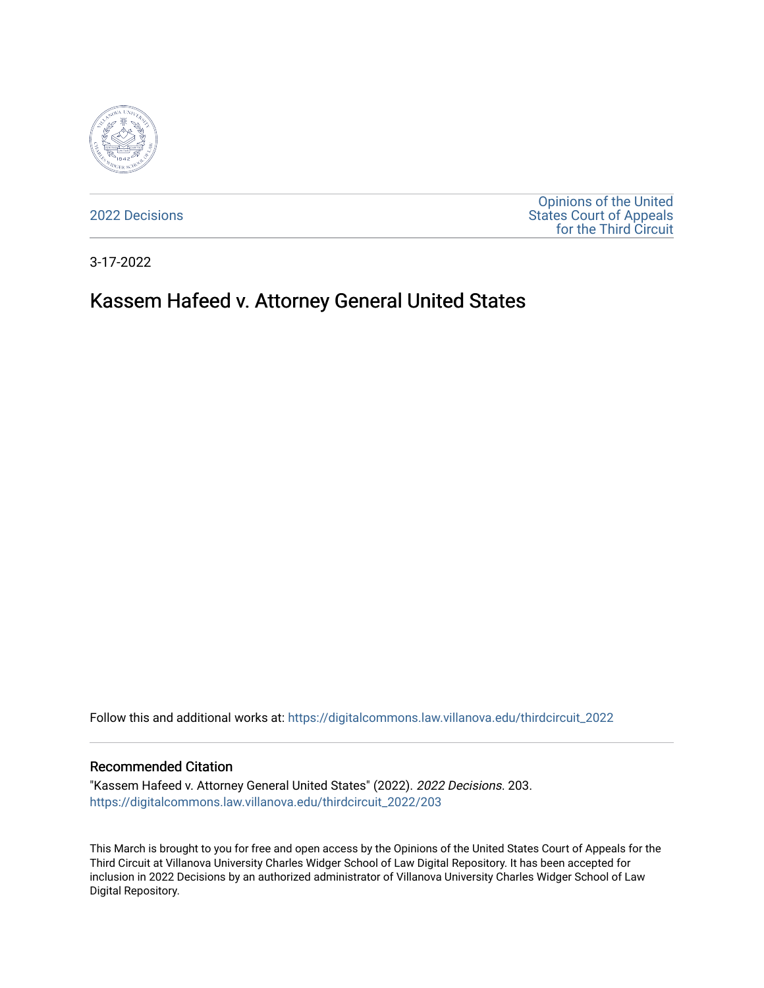

[2022 Decisions](https://digitalcommons.law.villanova.edu/thirdcircuit_2022)

[Opinions of the United](https://digitalcommons.law.villanova.edu/thirdcircuit)  [States Court of Appeals](https://digitalcommons.law.villanova.edu/thirdcircuit)  [for the Third Circuit](https://digitalcommons.law.villanova.edu/thirdcircuit) 

3-17-2022

# Kassem Hafeed v. Attorney General United States

Follow this and additional works at: [https://digitalcommons.law.villanova.edu/thirdcircuit\\_2022](https://digitalcommons.law.villanova.edu/thirdcircuit_2022?utm_source=digitalcommons.law.villanova.edu%2Fthirdcircuit_2022%2F203&utm_medium=PDF&utm_campaign=PDFCoverPages) 

#### Recommended Citation

"Kassem Hafeed v. Attorney General United States" (2022). 2022 Decisions. 203. [https://digitalcommons.law.villanova.edu/thirdcircuit\\_2022/203](https://digitalcommons.law.villanova.edu/thirdcircuit_2022/203?utm_source=digitalcommons.law.villanova.edu%2Fthirdcircuit_2022%2F203&utm_medium=PDF&utm_campaign=PDFCoverPages)

This March is brought to you for free and open access by the Opinions of the United States Court of Appeals for the Third Circuit at Villanova University Charles Widger School of Law Digital Repository. It has been accepted for inclusion in 2022 Decisions by an authorized administrator of Villanova University Charles Widger School of Law Digital Repository.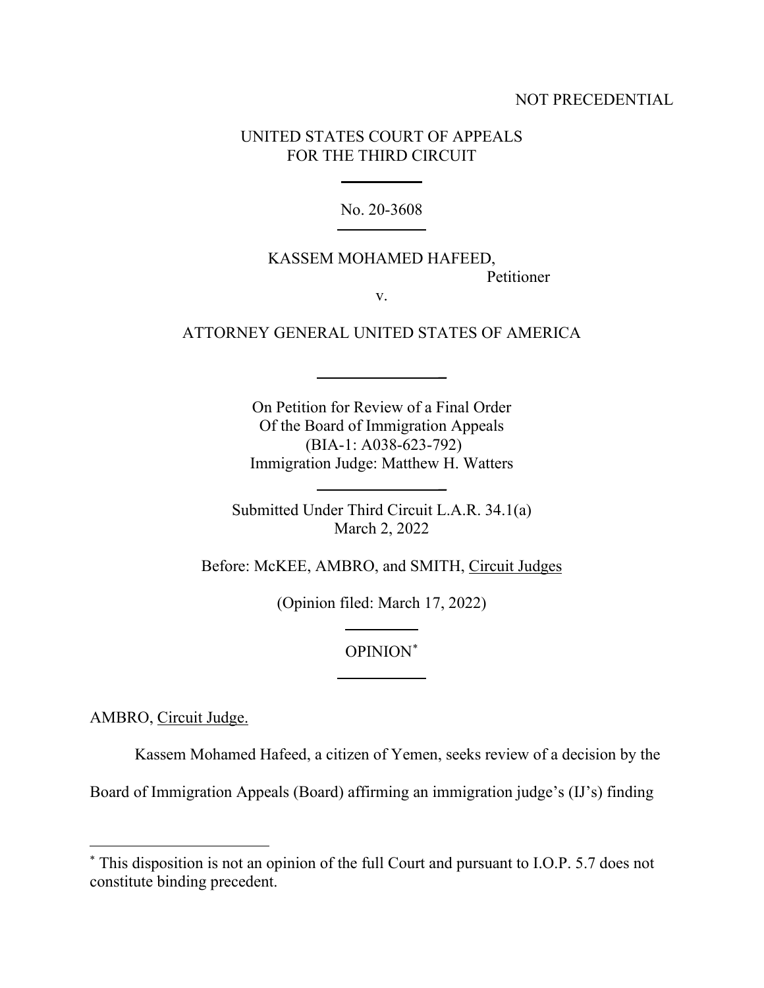### NOT PRECEDENTIAL

## UNITED STATES COURT OF APPEALS FOR THE THIRD CIRCUIT

No. 20-3608

## KASSEM MOHAMED HAFEED, Petitioner

**\_**

**\_**

v.

ATTORNEY GENERAL UNITED STATES OF AMERICA

On Petition for Review of a Final Order Of the Board of Immigration Appeals (BIA-1: A038-623-792) Immigration Judge: Matthew H. Watters

Submitted Under Third Circuit L.A.R. 34.1(a) March 2, 2022

Before: McKEE, AMBRO, and SMITH, Circuit Judges

(Opinion filed: March 17, 2022)

## OPINION\*

AMBRO, Circuit Judge.

Kassem Mohamed Hafeed, a citizen of Yemen, seeks review of a decision by the

Board of Immigration Appeals (Board) affirming an immigration judge's (IJ's) finding

<sup>\*</sup> This disposition is not an opinion of the full Court and pursuant to I.O.P. 5.7 does not constitute binding precedent.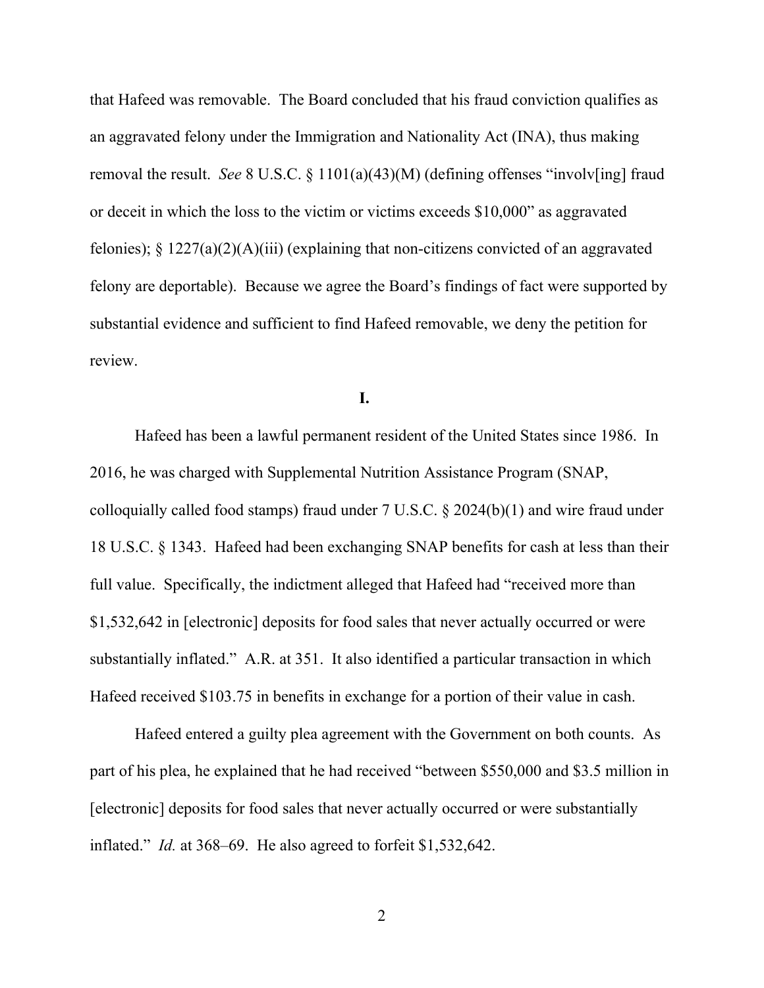that Hafeed was removable. The Board concluded that his fraud conviction qualifies as an aggravated felony under the Immigration and Nationality Act (INA), thus making removal the result. *See* 8 U.S.C. § 1101(a)(43)(M) (defining offenses "involv[ing] fraud or deceit in which the loss to the victim or victims exceeds \$10,000" as aggravated felonies);  $\S 1227(a)(2)(A)(iii)$  (explaining that non-citizens convicted of an aggravated felony are deportable). Because we agree the Board's findings of fact were supported by substantial evidence and sufficient to find Hafeed removable, we deny the petition for review.

**I.**

Hafeed has been a lawful permanent resident of the United States since 1986. In 2016, he was charged with Supplemental Nutrition Assistance Program (SNAP, colloquially called food stamps) fraud under 7 U.S.C. § 2024(b)(1) and wire fraud under 18 U.S.C. § 1343. Hafeed had been exchanging SNAP benefits for cash at less than their full value. Specifically, the indictment alleged that Hafeed had "received more than \$1,532,642 in [electronic] deposits for food sales that never actually occurred or were substantially inflated." A.R. at 351. It also identified a particular transaction in which Hafeed received \$103.75 in benefits in exchange for a portion of their value in cash.

Hafeed entered a guilty plea agreement with the Government on both counts. As part of his plea, he explained that he had received "between \$550,000 and \$3.5 million in [electronic] deposits for food sales that never actually occurred or were substantially inflated." *Id.* at 368–69. He also agreed to forfeit \$1,532,642.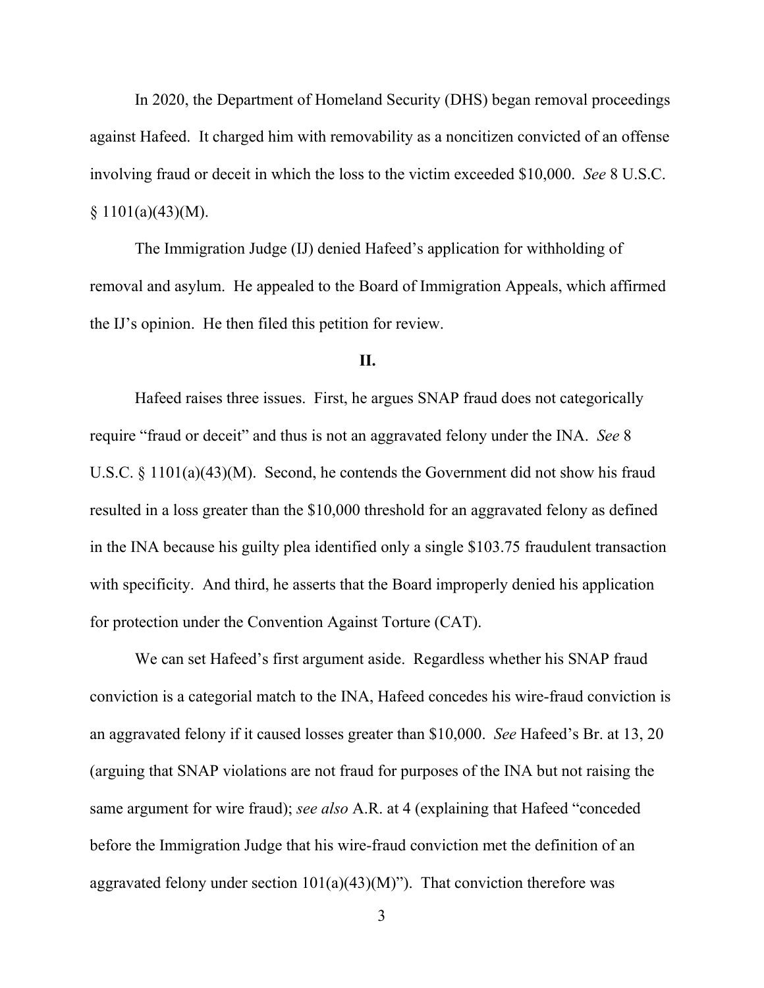In 2020, the Department of Homeland Security (DHS) began removal proceedings against Hafeed. It charged him with removability as a noncitizen convicted of an offense involving fraud or deceit in which the loss to the victim exceeded \$10,000. *See* 8 U.S.C.  $§ 1101(a)(43)(M).$ 

The Immigration Judge (IJ) denied Hafeed's application for withholding of removal and asylum. He appealed to the Board of Immigration Appeals, which affirmed the IJ's opinion. He then filed this petition for review.

#### **II.**

Hafeed raises three issues. First, he argues SNAP fraud does not categorically require "fraud or deceit" and thus is not an aggravated felony under the INA. *See* 8 U.S.C. § 1101(a)(43)(M). Second, he contends the Government did not show his fraud resulted in a loss greater than the \$10,000 threshold for an aggravated felony as defined in the INA because his guilty plea identified only a single \$103.75 fraudulent transaction with specificity. And third, he asserts that the Board improperly denied his application for protection under the Convention Against Torture (CAT).

We can set Hafeed's first argument aside. Regardless whether his SNAP fraud conviction is a categorial match to the INA, Hafeed concedes his wire-fraud conviction is an aggravated felony if it caused losses greater than \$10,000. *See* Hafeed's Br. at 13, 20 (arguing that SNAP violations are not fraud for purposes of the INA but not raising the same argument for wire fraud); *see also* A.R. at 4 (explaining that Hafeed "conceded before the Immigration Judge that his wire-fraud conviction met the definition of an aggravated felony under section  $101(a)(43)(M)$ "). That conviction therefore was

3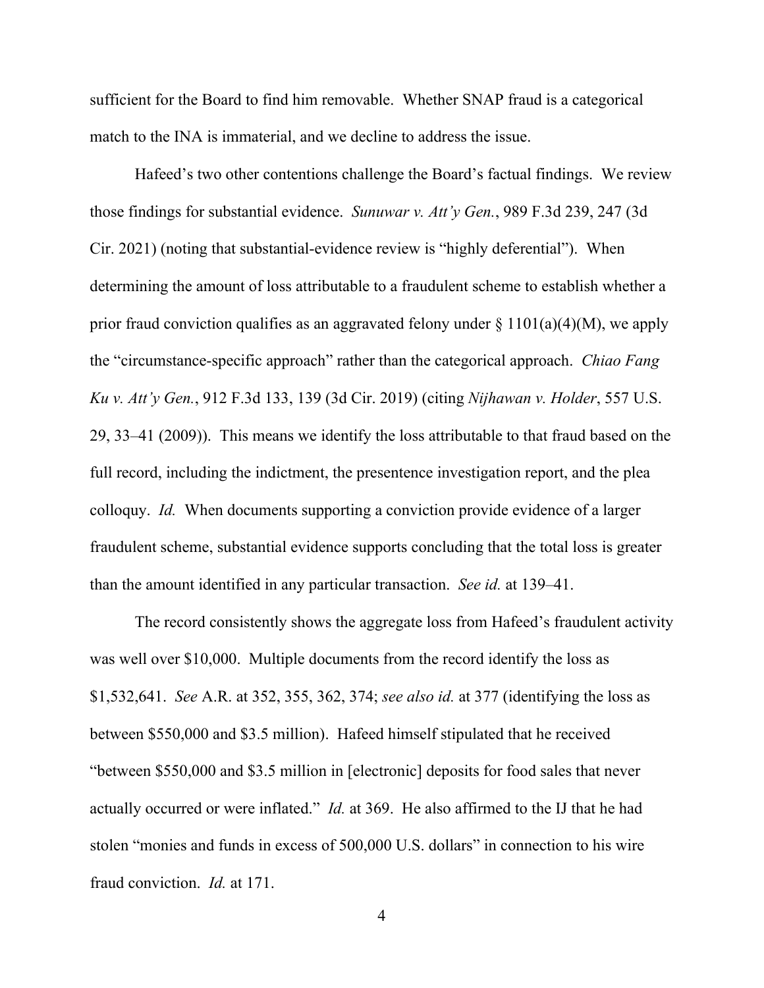sufficient for the Board to find him removable. Whether SNAP fraud is a categorical match to the INA is immaterial, and we decline to address the issue.

Hafeed's two other contentions challenge the Board's factual findings. We review those findings for substantial evidence. *Sunuwar v. Att'y Gen.*, 989 F.3d 239, 247 (3d Cir. 2021) (noting that substantial-evidence review is "highly deferential"). When determining the amount of loss attributable to a fraudulent scheme to establish whether a prior fraud conviction qualifies as an aggravated felony under  $\S 1101(a)(4)(M)$ , we apply the "circumstance-specific approach" rather than the categorical approach. *Chiao Fang Ku v. Att'y Gen.*, 912 F.3d 133, 139 (3d Cir. 2019) (citing *Nijhawan v. Holder*, 557 U.S. 29, 33–41 (2009)). This means we identify the loss attributable to that fraud based on the full record, including the indictment, the presentence investigation report, and the plea colloquy. *Id.* When documents supporting a conviction provide evidence of a larger fraudulent scheme, substantial evidence supports concluding that the total loss is greater than the amount identified in any particular transaction. *See id.* at 139–41.

The record consistently shows the aggregate loss from Hafeed's fraudulent activity was well over \$10,000. Multiple documents from the record identify the loss as \$1,532,641. *See* A.R. at 352, 355, 362, 374; *see also id.* at 377 (identifying the loss as between \$550,000 and \$3.5 million). Hafeed himself stipulated that he received "between \$550,000 and \$3.5 million in [electronic] deposits for food sales that never actually occurred or were inflated." *Id.* at 369. He also affirmed to the IJ that he had stolen "monies and funds in excess of 500,000 U.S. dollars" in connection to his wire fraud conviction. *Id.* at 171.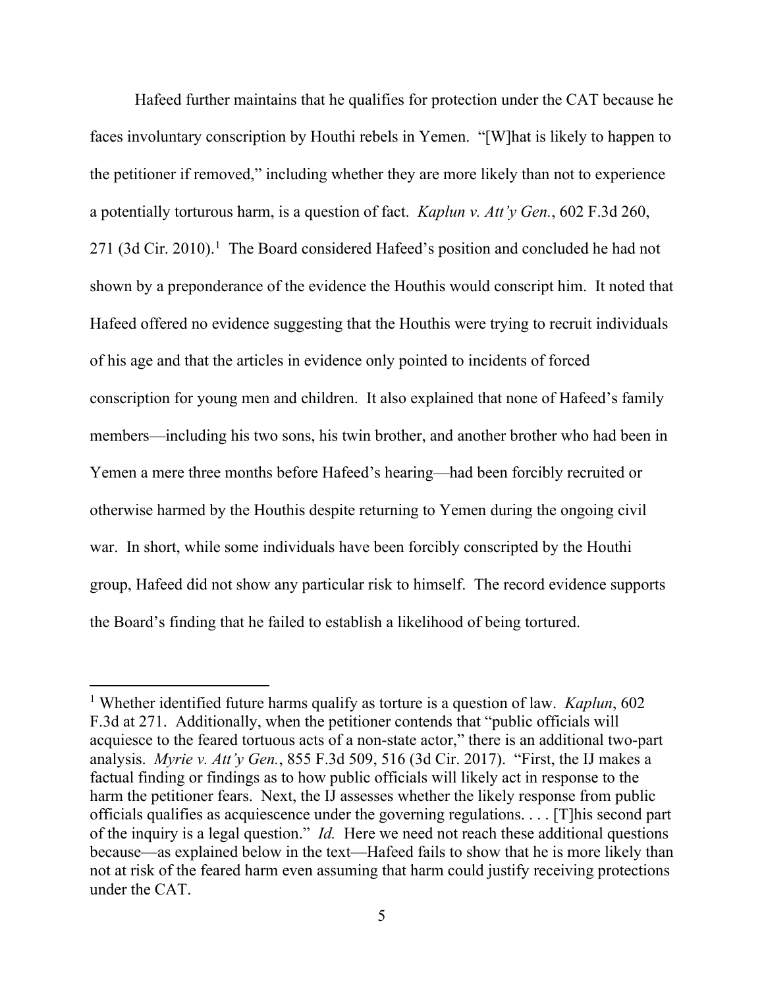Hafeed further maintains that he qualifies for protection under the CAT because he faces involuntary conscription by Houthi rebels in Yemen. "[W]hat is likely to happen to the petitioner if removed," including whether they are more likely than not to experience a potentially torturous harm, is a question of fact. *Kaplun v. Att'y Gen.*, 602 F.3d 260, 271 (3d Cir. 2010).<sup>1</sup> The Board considered Hafeed's position and concluded he had not shown by a preponderance of the evidence the Houthis would conscript him. It noted that Hafeed offered no evidence suggesting that the Houthis were trying to recruit individuals of his age and that the articles in evidence only pointed to incidents of forced conscription for young men and children. It also explained that none of Hafeed's family members—including his two sons, his twin brother, and another brother who had been in Yemen a mere three months before Hafeed's hearing—had been forcibly recruited or otherwise harmed by the Houthis despite returning to Yemen during the ongoing civil war. In short, while some individuals have been forcibly conscripted by the Houthi group, Hafeed did not show any particular risk to himself. The record evidence supports the Board's finding that he failed to establish a likelihood of being tortured.

<sup>1</sup> Whether identified future harms qualify as torture is a question of law. *Kaplun*, 602 F.3d at 271. Additionally, when the petitioner contends that "public officials will acquiesce to the feared tortuous acts of a non-state actor," there is an additional two-part analysis. *Myrie v. Att'y Gen.*, 855 F.3d 509, 516 (3d Cir. 2017). "First, the IJ makes a factual finding or findings as to how public officials will likely act in response to the harm the petitioner fears. Next, the IJ assesses whether the likely response from public officials qualifies as acquiescence under the governing regulations. . . . [T]his second part of the inquiry is a legal question." *Id.* Here we need not reach these additional questions because—as explained below in the text—Hafeed fails to show that he is more likely than not at risk of the feared harm even assuming that harm could justify receiving protections under the CAT.